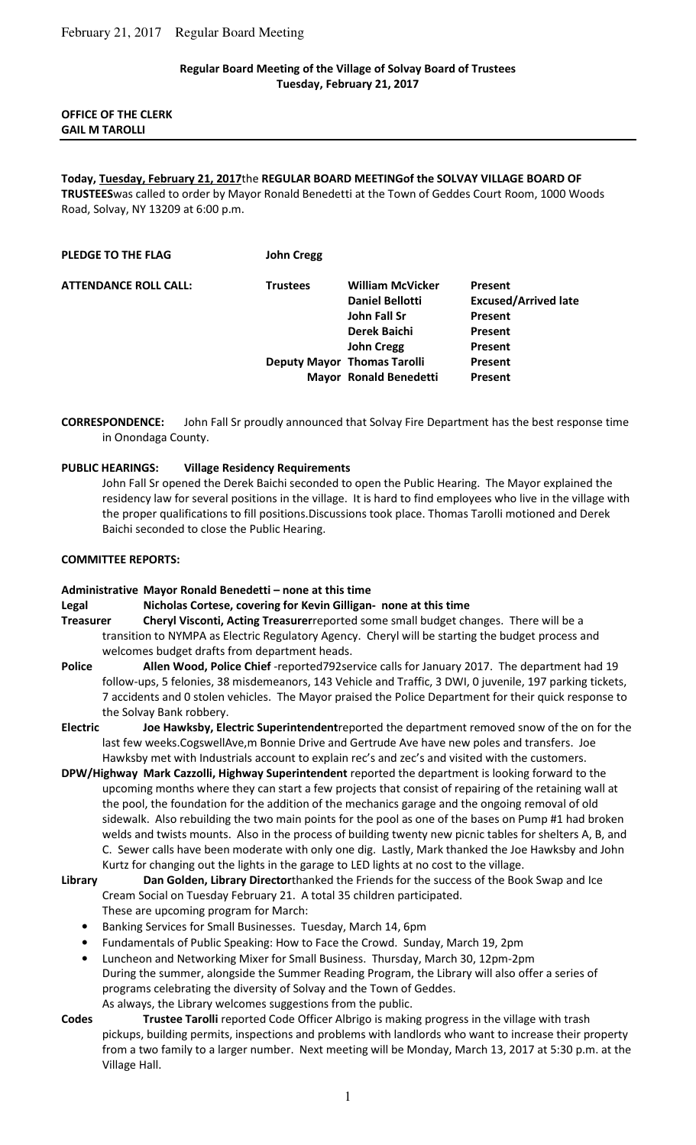## **Regular Board Meeting of the Village of Solvay Board of Trustees Tuesday, February 21, 2017**

## **OFFICE OF THE CLERK GAIL M TAROLLI**

# **Today, Tuesday, February 21, 2017**the **REGULAR BOARD MEETINGof the SOLVAY VILLAGE BOARD OF**

**TRUSTEES**was called to order by Mayor Ronald Benedetti at the Town of Geddes Court Room, 1000 Woods Road, Solvay, NY 13209 at 6:00 p.m.

| <b>William McVicker</b> | <b>Present</b>                                                      |
|-------------------------|---------------------------------------------------------------------|
| <b>Daniel Bellotti</b>  | <b>Excused/Arrived late</b>                                         |
| John Fall Sr            | <b>Present</b>                                                      |
| Derek Baichi            | Present                                                             |
| <b>John Cregg</b>       | Present                                                             |
|                         | Present                                                             |
|                         | <b>Present</b>                                                      |
|                         | <b>Deputy Mayor Thomas Tarolli</b><br><b>Mayor Ronald Benedetti</b> |

**CORRESPONDENCE:** John Fall Sr proudly announced that Solvay Fire Department has the best response time in Onondaga County.

#### **PUBLIC HEARINGS: Village Residency Requirements**

John Fall Sr opened the Derek Baichi seconded to open the Public Hearing. The Mayor explained the residency law for several positions in the village. It is hard to find employees who live in the village with the proper qualifications to fill positions.Discussions took place. Thomas Tarolli motioned and Derek Baichi seconded to close the Public Hearing.

#### **COMMITTEE REPORTS:**

#### **Administrative Mayor Ronald Benedetti – none at this time**

- **Legal Nicholas Cortese, covering for Kevin Gilligan- none at this time**
- **Treasurer Cheryl Visconti, Acting Treasurer**reported some small budget changes. There will be a transition to NYMPA as Electric Regulatory Agency. Cheryl will be starting the budget process and welcomes budget drafts from department heads.
- **Police Allen Wood, Police Chief** -reported792service calls for January 2017. The department had 19 follow-ups, 5 felonies, 38 misdemeanors, 143 Vehicle and Traffic, 3 DWI, 0 juvenile, 197 parking tickets, 7 accidents and 0 stolen vehicles. The Mayor praised the Police Department for their quick response to the Solvay Bank robbery.
- **Electric Joe Hawksby, Electric Superintendent**reported the department removed snow of the on for the last few weeks.CogswellAve,m Bonnie Drive and Gertrude Ave have new poles and transfers. Joe Hawksby met with Industrials account to explain rec's and zec's and visited with the customers.
- **DPW/Highway Mark Cazzolli, Highway Superintendent** reported the department is looking forward to the upcoming months where they can start a few projects that consist of repairing of the retaining wall at the pool, the foundation for the addition of the mechanics garage and the ongoing removal of old sidewalk. Also rebuilding the two main points for the pool as one of the bases on Pump #1 had broken welds and twists mounts. Also in the process of building twenty new picnic tables for shelters A, B, and C. Sewer calls have been moderate with only one dig. Lastly, Mark thanked the Joe Hawksby and John Kurtz for changing out the lights in the garage to LED lights at no cost to the village.
- **Library Dan Golden, Library Director**thanked the Friends for the success of the Book Swap and Ice Cream Social on Tuesday February 21. A total 35 children participated. These are upcoming program for March:
	- Banking Services for Small Businesses. Tuesday, March 14, 6pm
	- Fundamentals of Public Speaking: How to Face the Crowd. Sunday, March 19, 2pm
	- Luncheon and Networking Mixer for Small Business. Thursday, March 30, 12pm-2pm During the summer, alongside the Summer Reading Program, the Library will also offer a series of programs celebrating the diversity of Solvay and the Town of Geddes. As always, the Library welcomes suggestions from the public.
- 
- **Codes Trustee Tarolli** reported Code Officer Albrigo is making progress in the village with trash pickups, building permits, inspections and problems with landlords who want to increase their property from a two family to a larger number. Next meeting will be Monday, March 13, 2017 at 5:30 p.m. at the Village Hall.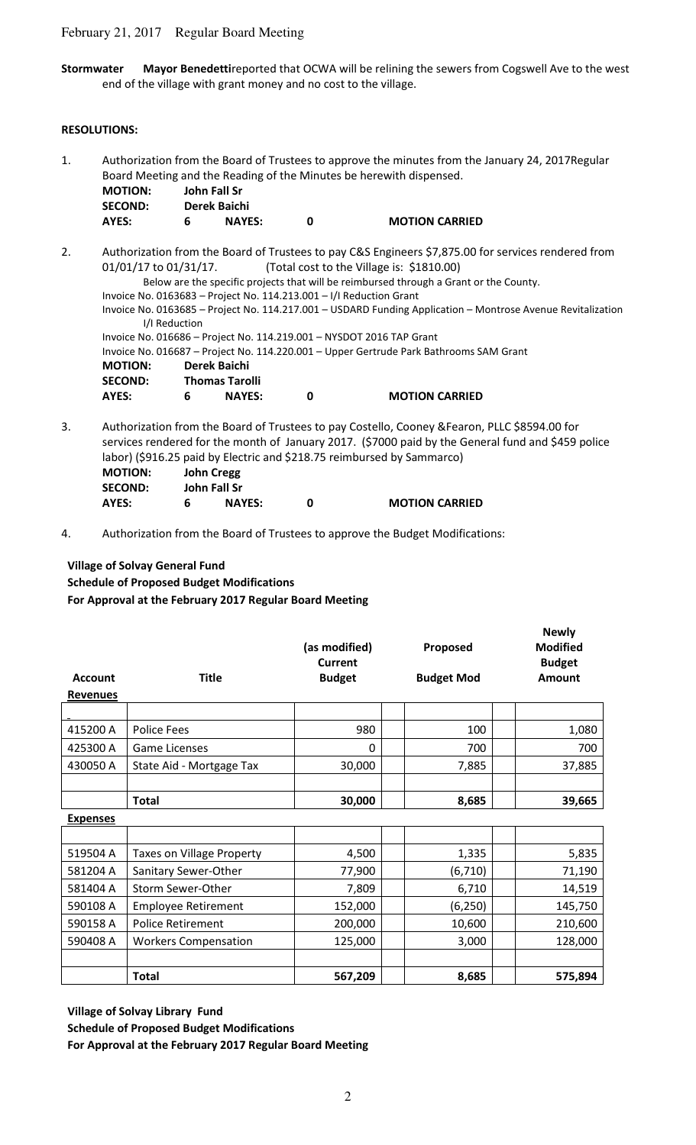## February 21, 2017 Regular Board Meeting

**Stormwater Mayor Benedetti**reported that OCWA will be relining the sewers from Cogswell Ave to the west end of the village with grant money and no cost to the village.

#### **RESOLUTIONS:**

- 1. Authorization from the Board of Trustees to approve the minutes from the January 24, 2017Regular Board Meeting and the Reading of the Minutes be herewith dispensed.  **MOTION: John Fall Sr SECOND: Derek Baichi AYES: 6 NAYES: 0 MOTION CARRIED**
- 2. Authorization from the Board of Trustees to pay C&S Engineers \$7,875.00 for services rendered from 01/01/17 to 01/31/17. (Total cost to the Village is: \$1810.00) Below are the specific projects that will be reimbursed through a Grant or the County. Invoice No. 0163683 – Project No. 114.213.001 – I/I Reduction Grant Invoice No. 0163685 – Project No. 114.217.001 – USDARD Funding Application – Montrose Avenue Revitalization I/I Reduction Invoice No. 016686 – Project No. 114.219.001 – NYSDOT 2016 TAP Grant Invoice No. 016687 – Project No. 114.220.001 – Upper Gertrude Park Bathrooms SAM Grant  **MOTION: Derek Baichi SECOND: Thomas Tarolli AYES: 6 NAYES: 0 MOTION CARRIED**
- 3. Authorization from the Board of Trustees to pay Costello, Cooney &Fearon, PLLC \$8594.00 for services rendered for the month of January 2017. (\$7000 paid by the General fund and \$459 police labor) (\$916.25 paid by Electric and \$218.75 reimbursed by Sammarco)  **MOTION: John Cregg**

| <b>IVIOTION:</b> |   | John Cregg    |                       |
|------------------|---|---------------|-----------------------|
| <b>SECOND:</b>   |   | John Fall Sr  |                       |
| AYES:            | 6 | <b>NAYES:</b> | <b>MOTION CARRIED</b> |

4. Authorization from the Board of Trustees to approve the Budget Modifications:

## **Village of Solvay General Fund**

**Schedule of Proposed Budget Modifications For Approval at the February 2017 Regular Board Meeting**

| <b>Account</b><br><b>Revenues</b> | <b>Title</b>             | (as modified)<br><b>Current</b><br><b>Budget</b> |  | Proposed<br><b>Budget Mod</b> | <b>Newly</b><br><b>Modified</b><br><b>Budget</b><br><b>Amount</b> |
|-----------------------------------|--------------------------|--------------------------------------------------|--|-------------------------------|-------------------------------------------------------------------|
|                                   |                          |                                                  |  |                               |                                                                   |
| 415200 A                          | Police Fees              | 980                                              |  | 100                           | 1,080                                                             |
| 425300 A                          | <b>Game Licenses</b>     | $\mathbf{0}$                                     |  | 700                           | 700                                                               |
| 430050 A                          | State Aid - Mortgage Tax | 30,000                                           |  | 7,885                         | 37,885                                                            |
|                                   |                          |                                                  |  |                               |                                                                   |
|                                   | <b>Total</b>             | 30,000                                           |  | 8,685                         | 39,665                                                            |

**Expenses**

| 519504 A | <b>Taxes on Village Property</b> | 4,500   | 1,335    | 5,835   |
|----------|----------------------------------|---------|----------|---------|
| 581204 A | Sanitary Sewer-Other             | 77,900  | (6, 710) | 71,190  |
| 581404 A | Storm Sewer-Other                | 7,809   | 6,710    | 14,519  |
| 590108 A | <b>Employee Retirement</b>       | 152,000 | (6, 250) | 145,750 |
| 590158 A | <b>Police Retirement</b>         | 200,000 | 10,600   | 210,600 |
| 590408 A | <b>Workers Compensation</b>      | 125,000 | 3,000    | 128,000 |
|          |                                  |         |          |         |
|          | <b>Total</b>                     | 567,209 | 8,685    | 575,894 |

**Village of Solvay Library Fund**

**Schedule of Proposed Budget Modifications**

**For Approval at the February 2017 Regular Board Meeting**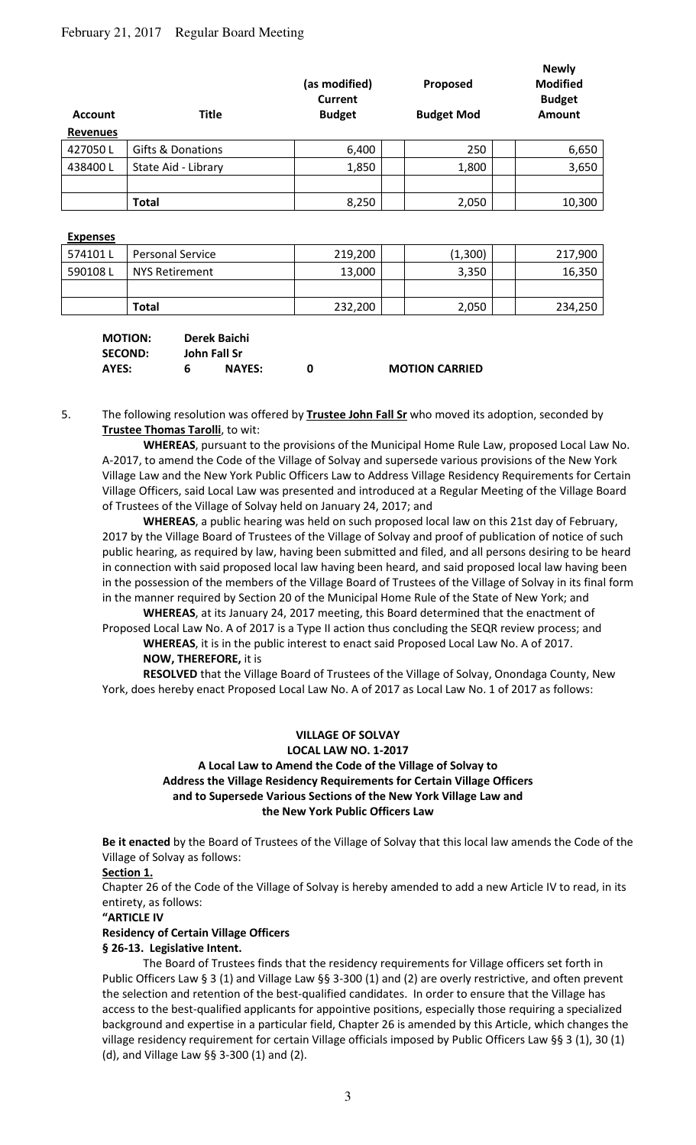# February 21, 2017 Regular Board Meeting

| <b>Account</b>  | <b>Title</b>        | (as modified)<br><b>Current</b><br><b>Budget</b> |  | Proposed<br><b>Budget Mod</b> | <b>Newly</b><br><b>Modified</b><br><b>Budget</b><br><b>Amount</b> |
|-----------------|---------------------|--------------------------------------------------|--|-------------------------------|-------------------------------------------------------------------|
| <b>Revenues</b> |                     |                                                  |  |                               |                                                                   |
| 427050L         | Gifts & Donations   | 6,400                                            |  | 250                           | 6,650                                                             |
| 438400L         | State Aid - Library | 1,850                                            |  | 1,800                         | 3,650                                                             |
|                 |                     |                                                  |  |                               |                                                                   |
|                 | <b>Total</b>        | 8,250                                            |  | 2,050                         | 10,300                                                            |

#### **Expenses**

| 574101 L | <b>Personal Service</b> | 219,200 | (1,300) | 217,900 |
|----------|-------------------------|---------|---------|---------|
| 590108L  | NYS Retirement          | 13,000  | 3,350   | 16,350  |
|          |                         |         |         |         |
|          | <b>Total</b>            | 232,200 | 2,050   | 234,250 |

| <b>MOTION:</b> |    | Derek Baichi  |                       |
|----------------|----|---------------|-----------------------|
| <b>SECOND:</b> |    | John Fall Sr  |                       |
| AYES:          | 6. | <b>NAYES:</b> | <b>MOTION CARRIED</b> |

5. The following resolution was offered by **Trustee John Fall Sr** who moved its adoption, seconded by **Trustee Thomas Tarolli**, to wit:

**WHEREAS**, pursuant to the provisions of the Municipal Home Rule Law, proposed Local Law No. A-2017, to amend the Code of the Village of Solvay and supersede various provisions of the New York Village Law and the New York Public Officers Law to Address Village Residency Requirements for Certain Village Officers, said Local Law was presented and introduced at a Regular Meeting of the Village Board of Trustees of the Village of Solvay held on January 24, 2017; and

**WHEREAS**, a public hearing was held on such proposed local law on this 21st day of February, 2017 by the Village Board of Trustees of the Village of Solvay and proof of publication of notice of such public hearing, as required by law, having been submitted and filed, and all persons desiring to be heard in connection with said proposed local law having been heard, and said proposed local law having been in the possession of the members of the Village Board of Trustees of the Village of Solvay in its final form in the manner required by Section 20 of the Municipal Home Rule of the State of New York; and

**WHEREAS**, at its January 24, 2017 meeting, this Board determined that the enactment of Proposed Local Law No. A of 2017 is a Type II action thus concluding the SEQR review process; and **WHEREAS**, it is in the public interest to enact said Proposed Local Law No. A of 2017.

## **NOW, THEREFORE,** it is

**RESOLVED** that the Village Board of Trustees of the Village of Solvay, Onondaga County, New York, does hereby enact Proposed Local Law No. A of 2017 as Local Law No. 1 of 2017 as follows:

## **VILLAGE OF SOLVAY**

## **LOCAL LAW NO. 1-2017 A Local Law to Amend the Code of the Village of Solvay to Address the Village Residency Requirements for Certain Village Officers and to Supersede Various Sections of the New York Village Law and the New York Public Officers Law**

**Be it enacted** by the Board of Trustees of the Village of Solvay that this local law amends the Code of the Village of Solvay as follows:

#### **Section 1.**

Chapter 26 of the Code of the Village of Solvay is hereby amended to add a new Article IV to read, in its entirety, as follows:

#### **"ARTICLE IV**

## **Residency of Certain Village Officers**

#### **§ 26-13. Legislative Intent.**

 The Board of Trustees finds that the residency requirements for Village officers set forth in Public Officers Law § 3 (1) and Village Law §§ 3-300 (1) and (2) are overly restrictive, and often prevent the selection and retention of the best-qualified candidates. In order to ensure that the Village has access to the best-qualified applicants for appointive positions, especially those requiring a specialized background and expertise in a particular field, Chapter 26 is amended by this Article, which changes the village residency requirement for certain Village officials imposed by Public Officers Law §§ 3 (1), 30 (1) (d), and Village Law §§ 3-300 (1) and (2).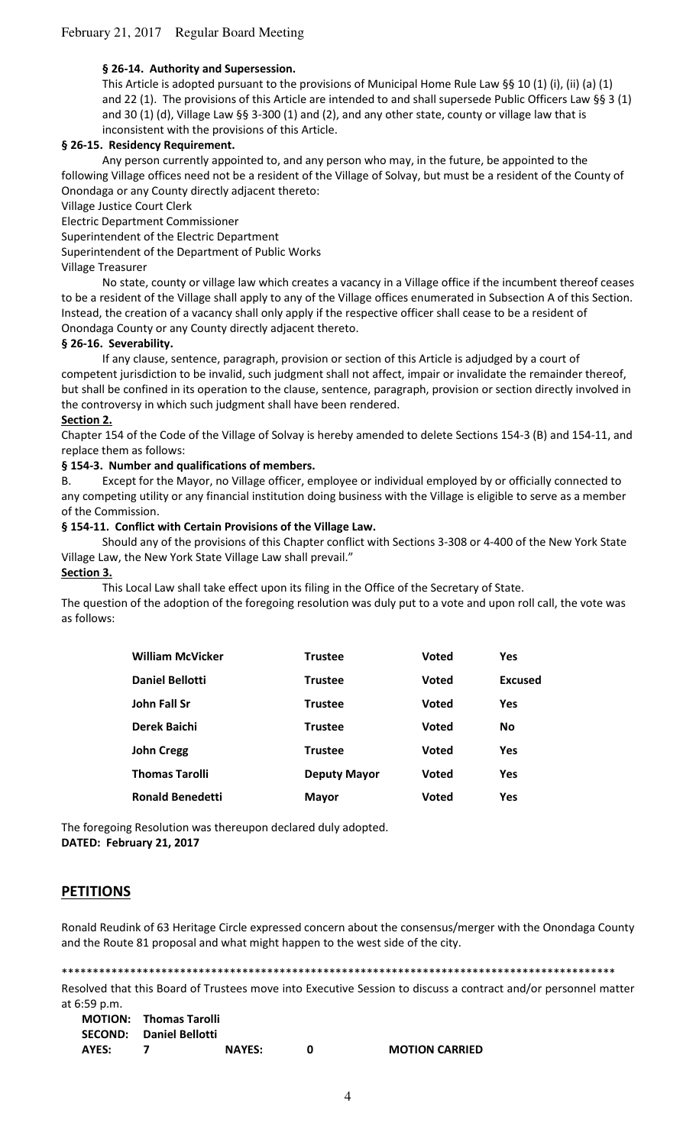## **§ 26-14. Authority and Supersession.**

This Article is adopted pursuant to the provisions of Municipal Home Rule Law §§ 10 (1) (i), (ii) (a) (1) and 22 (1). The provisions of this Article are intended to and shall supersede Public Officers Law §§ 3 (1) and 30 (1) (d), Village Law §§ 3-300 (1) and (2), and any other state, county or village law that is inconsistent with the provisions of this Article.

## **§ 26-15. Residency Requirement.**

Any person currently appointed to, and any person who may, in the future, be appointed to the following Village offices need not be a resident of the Village of Solvay, but must be a resident of the County of Onondaga or any County directly adjacent thereto:

Village Justice Court Clerk

Electric Department Commissioner

Superintendent of the Electric Department

Superintendent of the Department of Public Works

#### Village Treasurer

No state, county or village law which creates a vacancy in a Village office if the incumbent thereof ceases to be a resident of the Village shall apply to any of the Village offices enumerated in Subsection A of this Section. Instead, the creation of a vacancy shall only apply if the respective officer shall cease to be a resident of Onondaga County or any County directly adjacent thereto.

#### **§ 26-16. Severability.**

If any clause, sentence, paragraph, provision or section of this Article is adjudged by a court of competent jurisdiction to be invalid, such judgment shall not affect, impair or invalidate the remainder thereof, but shall be confined in its operation to the clause, sentence, paragraph, provision or section directly involved in the controversy in which such judgment shall have been rendered.

#### **Section 2.**

Chapter 154 of the Code of the Village of Solvay is hereby amended to delete Sections 154-3 (B) and 154-11, and replace them as follows:

## **§ 154-3. Number and qualifications of members.**

B. Except for the Mayor, no Village officer, employee or individual employed by or officially connected to any competing utility or any financial institution doing business with the Village is eligible to serve as a member of the Commission.

#### **§ 154-11. Conflict with Certain Provisions of the Village Law.**

Should any of the provisions of this Chapter conflict with Sections 3-308 or 4-400 of the New York State Village Law, the New York State Village Law shall prevail."

#### **Section 3.**

This Local Law shall take effect upon its filing in the Office of the Secretary of State.

The question of the adoption of the foregoing resolution was duly put to a vote and upon roll call, the vote was as follows:

| <b>William McVicker</b> | <b>Trustee</b>      | Voted        | <b>Yes</b>     |
|-------------------------|---------------------|--------------|----------------|
| Daniel Bellotti         | <b>Trustee</b>      | Voted        | <b>Excused</b> |
| John Fall Sr            | <b>Trustee</b>      | <b>Voted</b> | <b>Yes</b>     |
| <b>Derek Baichi</b>     | <b>Trustee</b>      | <b>Voted</b> | <b>No</b>      |
| <b>John Cregg</b>       | <b>Trustee</b>      | <b>Voted</b> | <b>Yes</b>     |
| <b>Thomas Tarolli</b>   | <b>Deputy Mayor</b> | <b>Voted</b> | <b>Yes</b>     |
| <b>Ronald Benedetti</b> | <b>Mayor</b>        | Voted        | <b>Yes</b>     |

The foregoing Resolution was thereupon declared duly adopted. **DATED: February 21, 2017** 

# **PETITIONS**

Ronald Reudink of 63 Heritage Circle expressed concern about the consensus/merger with the Onondaga County and the Route 81 proposal and what might happen to the west side of the city.

\*\*\*\*\*\*\*\*\*\*\*\*\*\*\*\*\*\*\*\*\*\*\*\*\*\*\*\*\*\*\*\*\*\*\*\*\*\*\*\*\*\*\*\*\*\*\*\*\*\*\*\*\*\*\*\*\*\*\*\*\*\*\*\*\*\*\*\*\*\*\*\*\*\*\*\*\*\*\*\*\*\*\*\*\*\*\*\*\*

Resolved that this Board of Trustees move into Executive Session to discuss a contract and/or personnel matter at 6:59 p.m.

|              | <b>MOTION: Thomas Tarolli</b>  |               |                       |
|--------------|--------------------------------|---------------|-----------------------|
|              | <b>SECOND:</b> Daniel Bellotti |               |                       |
| <b>AYES:</b> |                                | <b>NAYES:</b> | <b>MOTION CARRIED</b> |